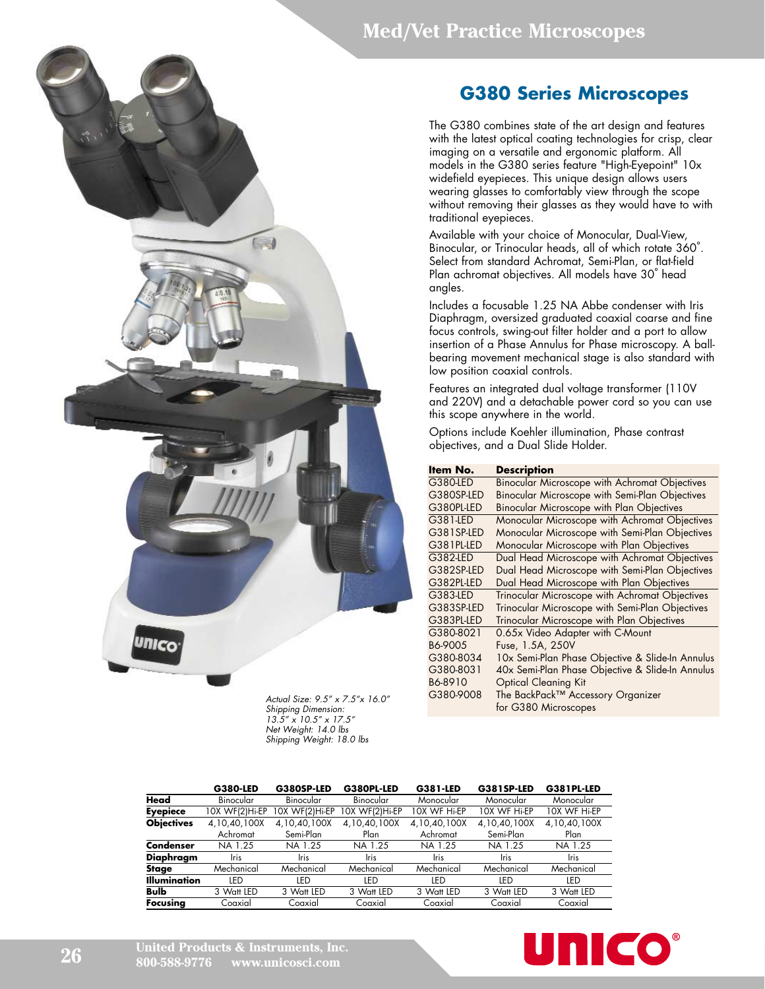#### **Med/Vet Practice Microscopes**



*Actual Size: 9.5" x 7.5"x 16.0" Shipping Dimension: 13.5" x 10.5" x 17.5" Net Weight: 14.0 lbs Shipping Weight: 18.0 lbs*

## **G380 Series Microscopes**

The G380 combines state of the art design and features with the latest optical coating technologies for crisp, clear imaging on a versatile and ergonomic platform. All models in the G380 series feature "High-Eyepoint" 10x widefield eyepieces. This unique design allows users wearing glasses to comfortably view through the scope without removing their glasses as they would have to with traditional eyepieces.

Available with your choice of Monocular, Dual-View, Binocular, or Trinocular heads, all of which rotate 360˚. Select from standard Achromat, Semi-Plan, or flat-field Plan achromat objectives. All models have 30˚ head angles.

Includes a focusable 1.25 NA Abbe condenser with Iris Diaphragm, oversized graduated coaxial coarse and fine focus controls, swing-out filter holder and a port to allow insertion of a Phase Annulus for Phase microscopy. A ballbearing movement mechanical stage is also standard with low position coaxial controls.

Features an integrated dual voltage transformer (110V and 220V) and a detachable power cord so you can use this scope anywhere in the world.

Options include Koehler illumination, Phase contrast objectives, and a Dual Slide Holder.

| ltem No.   | <b>Description</b>                                   |
|------------|------------------------------------------------------|
| G380-LED   | <b>Binocular Microscope with Achromat Objectives</b> |
| G380SP-LED | Binocular Microscope with Semi-Plan Objectives       |
| G380PL-LED | Binocular Microscope with Plan Objectives            |
| G381-LED   | Monocular Microscope with Achromat Objectives        |
| G381SP-LED | Monocular Microscope with Semi-Plan Objectives       |
| G381PL-LED | Monocular Microscope with Plan Objectives            |
| G382-LED   | Dual Head Microscope with Achromat Objectives        |
| G382SP-LED | Dual Head Microscope with Semi-Plan Objectives       |
| G382PL-LED | Dual Head Microscope with Plan Objectives            |
| G383-LED   | Trinocular Microscope with Achromat Objectives       |
| G383SP-LED | Trinocular Microscope with Semi-Plan Objectives      |
| G383PL-LED | Trinocular Microscope with Plan Objectives           |
| G380-8021  | 0.65x Video Adapter with C-Mount                     |
| B6-9005    | Fuse, 1.5A, 250V                                     |
| G380-8034  | 10x Semi-Plan Phase Objective & Slide-In Annulus     |
| G380-8031  | 40x Semi-Plan Phase Objective & Slide-In Annulus     |
| B6-8910    | <b>Optical Cleaning Kit</b>                          |
| G380-9008  | The BackPack™ Accessory Organizer                    |
|            | for G380 Microscopes                                 |

|              | <b>G380-LED</b>  | G380SP-LED     | G380PL-LED     | G381-LED     | G381SP-LED   | G381PL-LED   |
|--------------|------------------|----------------|----------------|--------------|--------------|--------------|
| Head         | <b>Binocular</b> | Binocular      | Binocular      | Monocular    | Monocular    | Monocular    |
| Eyepiece     | 10X WF(2)Hi-EP   | 10X WF(2)Hi-EP | 10X WF(2)Hi-EP | 10X WF Hi-EP | 10X WF Hi-EP | 10X WF Hi-EP |
| Objectives   | 4,10,40,100X     | 4,10,40,100X   | 4,10,40,100X   | 4,10,40,100X | 4,10,40,100X | 4,10,40,100X |
|              | Achromat         | Semi-Plan      | Plan           | Achromat     | Semi-Plan    | Plan         |
| Condenser    | NA 1.25          | NA 1.25        | NA 1.25        | NA 1.25      | NA 1.25      | NA 1.25      |
| Diaphragm    | Iris             | Iris           | Iris           | <b>Iris</b>  | Iris         | Iris         |
| Stage        | Mechanical       | Mechanical     | Mechanical     | Mechanical   | Mechanical   | Mechanical   |
| Illumination | LED              | LED            | LED            | <b>IFD</b>   | LED          | LED          |
| Bulb         | 3 Watt LED       | 3 Watt LED     | 3 Watt LED     | 3 Watt LED   | 3 Watt LED   | 3 Watt LED   |
| Focusing     | Coaxial          | Coaxial        | Coaxial        | Coaxial      | Coaxial      | Coaxial      |